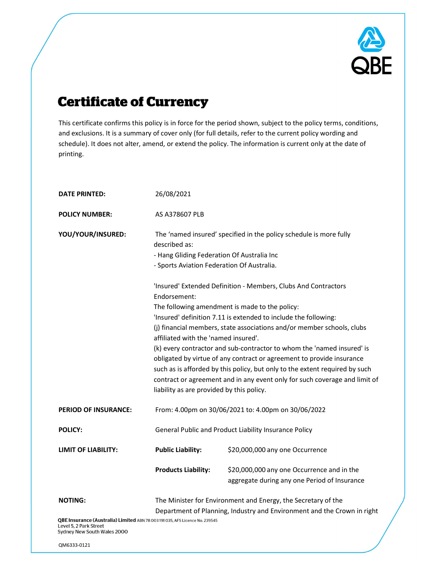

# **Certificate of Currency**

This certificate confirms this policy is in force for the period shown, subject to the policy terms, conditions, and exclusions. It is a summary of cover only (for full details, refer to the current policy wording and schedule). It does not alter, amend, or extend the policy. The information is current only at the date of printing.

| <b>DATE PRINTED:</b>                                                                                                                                    | 26/08/2021                                                                                                                                                                                                                                                                                                                                                                                                                                                                                                                                                                                                                                                                                                                                                                                                               |                                                                                            |
|---------------------------------------------------------------------------------------------------------------------------------------------------------|--------------------------------------------------------------------------------------------------------------------------------------------------------------------------------------------------------------------------------------------------------------------------------------------------------------------------------------------------------------------------------------------------------------------------------------------------------------------------------------------------------------------------------------------------------------------------------------------------------------------------------------------------------------------------------------------------------------------------------------------------------------------------------------------------------------------------|--------------------------------------------------------------------------------------------|
| <b>POLICY NUMBER:</b>                                                                                                                                   | AS A378607 PLB                                                                                                                                                                                                                                                                                                                                                                                                                                                                                                                                                                                                                                                                                                                                                                                                           |                                                                                            |
| YOU/YOUR/INSURED:                                                                                                                                       | The 'named insured' specified in the policy schedule is more fully<br>described as:<br>- Hang Gliding Federation Of Australia Inc<br>- Sports Aviation Federation Of Australia.<br>'Insured' Extended Definition - Members, Clubs And Contractors<br>Endorsement:<br>The following amendment is made to the policy:<br>'Insured' definition 7.11 is extended to include the following:<br>(j) financial members, state associations and/or member schools, clubs<br>affiliated with the 'named insured'.<br>(k) every contractor and sub-contractor to whom the 'named insured' is<br>obligated by virtue of any contract or agreement to provide insurance<br>such as is afforded by this policy, but only to the extent required by such<br>contract or agreement and in any event only for such coverage and limit of |                                                                                            |
|                                                                                                                                                         |                                                                                                                                                                                                                                                                                                                                                                                                                                                                                                                                                                                                                                                                                                                                                                                                                          |                                                                                            |
|                                                                                                                                                         | liability as are provided by this policy.                                                                                                                                                                                                                                                                                                                                                                                                                                                                                                                                                                                                                                                                                                                                                                                |                                                                                            |
| <b>PERIOD OF INSURANCE:</b>                                                                                                                             | From: 4.00pm on 30/06/2021 to: 4.00pm on 30/06/2022                                                                                                                                                                                                                                                                                                                                                                                                                                                                                                                                                                                                                                                                                                                                                                      |                                                                                            |
| <b>POLICY:</b>                                                                                                                                          | General Public and Product Liability Insurance Policy                                                                                                                                                                                                                                                                                                                                                                                                                                                                                                                                                                                                                                                                                                                                                                    |                                                                                            |
| <b>LIMIT OF LIABILITY:</b>                                                                                                                              | <b>Public Liability:</b>                                                                                                                                                                                                                                                                                                                                                                                                                                                                                                                                                                                                                                                                                                                                                                                                 | \$20,000,000 any one Occurrence                                                            |
|                                                                                                                                                         | <b>Products Liability:</b>                                                                                                                                                                                                                                                                                                                                                                                                                                                                                                                                                                                                                                                                                                                                                                                               | \$20,000,000 any one Occurrence and in the<br>aggregate during any one Period of Insurance |
| <b>NOTING:</b>                                                                                                                                          | The Minister for Environment and Energy, the Secretary of the                                                                                                                                                                                                                                                                                                                                                                                                                                                                                                                                                                                                                                                                                                                                                            |                                                                                            |
| Department of Planning, Industry and Environment and the Crown in right<br>QBE Insurance (Australia) Limited ABN 78 003 191 035, AFS Licence No. 239545 |                                                                                                                                                                                                                                                                                                                                                                                                                                                                                                                                                                                                                                                                                                                                                                                                                          |                                                                                            |

Level 5, 2 Park Street Sydney New South Wales 2000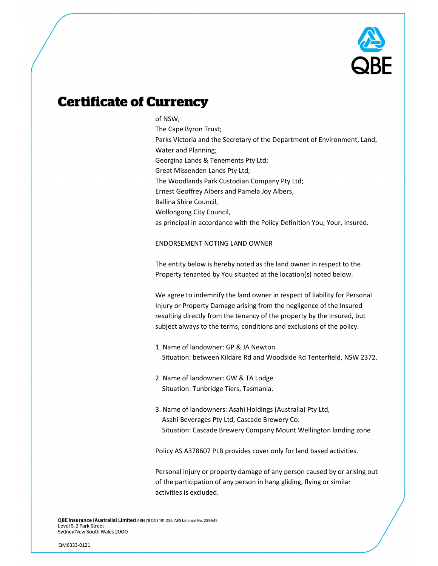

### **Certificate of Currency**

#### of NSW;

The Cape Byron Trust; Parks Victoria and the Secretary of the Department of Environment, Land, Water and Planning; Georgina Lands & Tenements Pty Ltd; Great Missenden Lands Pty Ltd; The Woodlands Park Custodian Company Pty Ltd; Ernest Geoffrey Albers and Pamela Joy Albers, Ballina Shire Council, Wollongong City Council, as principal in accordance with the Policy Definition You, Your, Insured.

#### ENDORSEMENT NOTING LAND OWNER

The entity below is hereby noted as the land owner in respect to the Property tenanted by You situated at the location(s) noted below.

We agree to indemnify the land owner in respect of liability for Personal Injury or Property Damage arising from the negligence of the Insured resulting directly from the tenancy of the property by the Insured, but subject always to the terms, conditions and exclusions of the policy.

- 1. Name of landowner: GP & JA Newton Situation: between Kildare Rd and Woodside Rd Tenterfield, NSW 2372.
- 2. Name of landowner: GW & TA Lodge Situation: Tunbridge Tiers, Tasmania.
- 3. Name of landowners: Asahi Holdings (Australia) Pty Ltd, Asahi Beverages Pty Ltd, Cascade Brewery Co. Situation: Cascade Brewery Company Mount Wellington landing zone

Policy AS A378607 PLB provides cover only for land based activities.

Personal injury or property damage of any person caused by or arising out of the participation of any person in hang gliding, flying or similar activities is excluded.